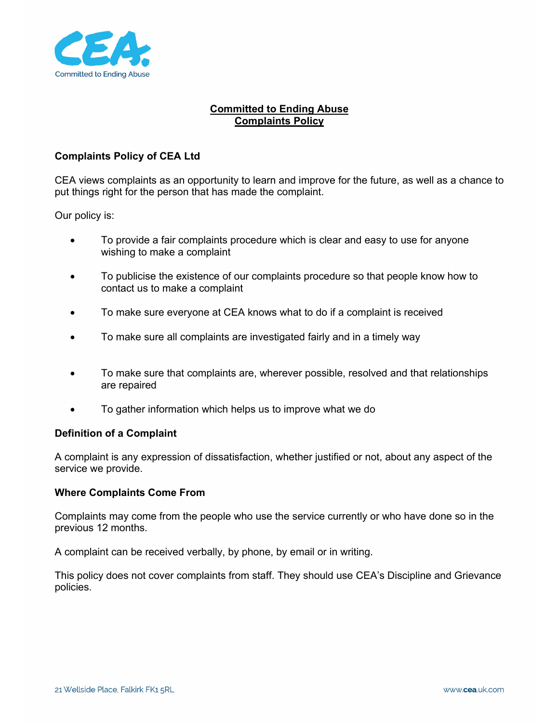

## **Committed to Ending Abuse Complaints Policy**

## **Complaints Policy of CEA Ltd**

CEA views complaints as an opportunity to learn and improve for the future, as well as a chance to put things right for the person that has made the complaint.

Our policy is:

- To provide a fair complaints procedure which is clear and easy to use for anyone wishing to make a complaint
- To publicise the existence of our complaints procedure so that people know how to contact us to make a complaint
- To make sure everyone at CEA knows what to do if a complaint is received
- To make sure all complaints are investigated fairly and in a timely way
- To make sure that complaints are, wherever possible, resolved and that relationships are repaired
- To gather information which helps us to improve what we do

#### **Definition of a Complaint**

A complaint is any expression of dissatisfaction, whether justified or not, about any aspect of the service we provide.

#### **Where Complaints Come From**

Complaints may come from the people who use the service currently or who have done so in the previous 12 months.

A complaint can be received verbally, by phone, by email or in writing.

This policy does not cover complaints from staff. They should use CEA's Discipline and Grievance policies.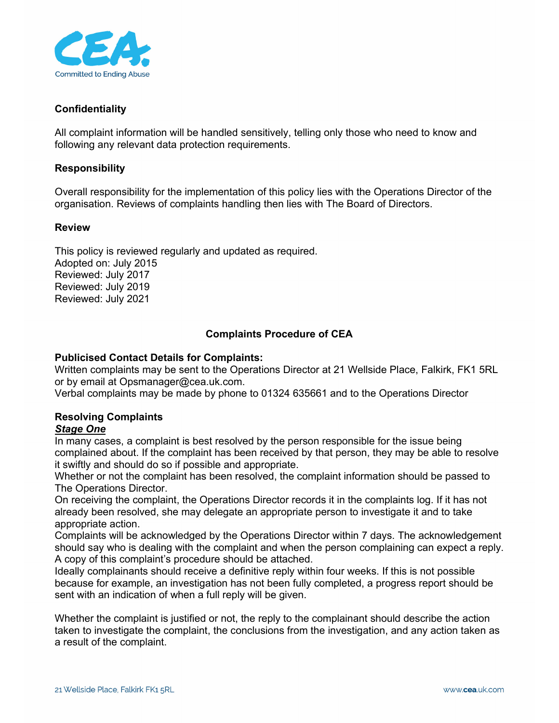

## **Confidentiality**

All complaint information will be handled sensitively, telling only those who need to know and following any relevant data protection requirements.

### **Responsibility**

Overall responsibility for the implementation of this policy lies with the Operations Director of the organisation. Reviews of complaints handling then lies with The Board of Directors.

### **Review**

This policy is reviewed regularly and updated as required. Adopted on: July 2015 Reviewed: July 2017 Reviewed: July 2019 Reviewed: July 2021

## **Complaints Procedure of CEA**

### **Publicised Contact Details for Complaints:**

Written complaints may be sent to the Operations Director at 21 Wellside Place, Falkirk, FK1 5RL or by email at Opsmanager@cea.uk.com.

Verbal complaints may be made by phone to 01324 635661 and to the Operations Director

# **Resolving Complaints**

# *Stage One*

In many cases, a complaint is best resolved by the person responsible for the issue being complained about. If the complaint has been received by that person, they may be able to resolve it swiftly and should do so if possible and appropriate.

Whether or not the complaint has been resolved, the complaint information should be passed to The Operations Director.

On receiving the complaint, the Operations Director records it in the complaints log. If it has not already been resolved, she may delegate an appropriate person to investigate it and to take appropriate action.

Complaints will be acknowledged by the Operations Director within 7 days. The acknowledgement should say who is dealing with the complaint and when the person complaining can expect a reply. A copy of this complaint's procedure should be attached.

Ideally complainants should receive a definitive reply within four weeks. If this is not possible because for example, an investigation has not been fully completed, a progress report should be sent with an indication of when a full reply will be given.

Whether the complaint is justified or not, the reply to the complainant should describe the action taken to investigate the complaint, the conclusions from the investigation, and any action taken as a result of the complaint.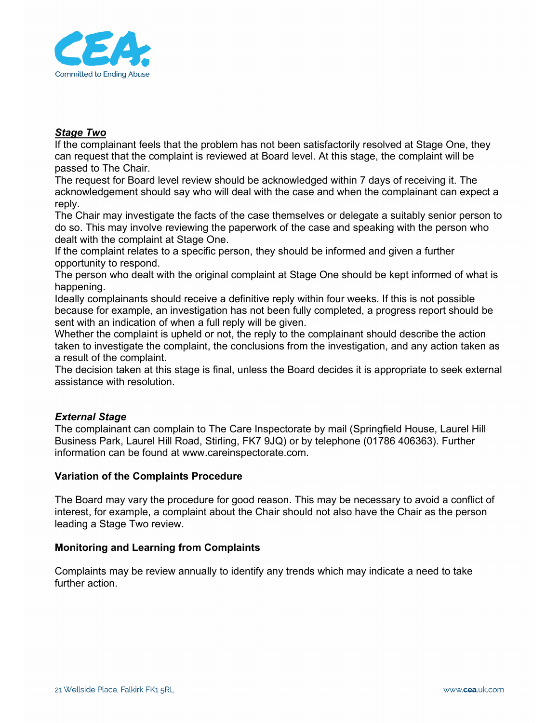

### *Stage Two*

If the complainant feels that the problem has not been satisfactorily resolved at Stage One, they can request that the complaint is reviewed at Board level. At this stage, the complaint will be passed to The Chair.

The request for Board level review should be acknowledged within 7 days of receiving it. The acknowledgement should say who will deal with the case and when the complainant can expect a reply.

The Chair may investigate the facts of the case themselves or delegate a suitably senior person to do so. This may involve reviewing the paperwork of the case and speaking with the person who dealt with the complaint at Stage One.

If the complaint relates to a specific person, they should be informed and given a further opportunity to respond.

The person who dealt with the original complaint at Stage One should be kept informed of what is happening.

Ideally complainants should receive a definitive reply within four weeks. If this is not possible because for example, an investigation has not been fully completed, a progress report should be sent with an indication of when a full reply will be given.

Whether the complaint is upheld or not, the reply to the complainant should describe the action taken to investigate the complaint, the conclusions from the investigation, and any action taken as a result of the complaint.

The decision taken at this stage is final, unless the Board decides it is appropriate to seek external assistance with resolution.

## *External Stage*

The complainant can complain to The Care Inspectorate by mail (Springfield House, Laurel Hill Business Park, Laurel Hill Road, Stirling, FK7 9JQ) or by telephone (01786 406363). Further information can be found at www.careinspectorate.com.

#### **Variation of the Complaints Procedure**

The Board may vary the procedure for good reason. This may be necessary to avoid a conflict of interest, for example, a complaint about the Chair should not also have the Chair as the person leading a Stage Two review.

#### **Monitoring and Learning from Complaints**

Complaints may be review annually to identify any trends which may indicate a need to take further action.